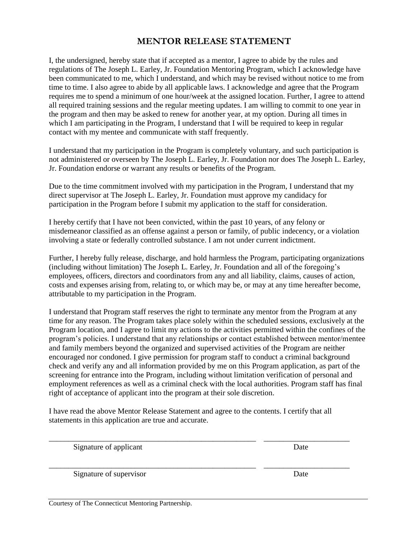## **MENTOR RELEASE STATEMENT**

I, the undersigned, hereby state that if accepted as a mentor, I agree to abide by the rules and regulations of The Joseph L. Earley, Jr. Foundation Mentoring Program, which I acknowledge have been communicated to me, which I understand, and which may be revised without notice to me from time to time. I also agree to abide by all applicable laws. I acknowledge and agree that the Program requires me to spend a minimum of one hour/week at the assigned location. Further, I agree to attend all required training sessions and the regular meeting updates. I am willing to commit to one year in the program and then may be asked to renew for another year, at my option. During all times in which I am participating in the Program, I understand that I will be required to keep in regular contact with my mentee and communicate with staff frequently.

I understand that my participation in the Program is completely voluntary, and such participation is not administered or overseen by The Joseph L. Earley, Jr. Foundation nor does The Joseph L. Earley, Jr. Foundation endorse or warrant any results or benefits of the Program.

Due to the time commitment involved with my participation in the Program, I understand that my direct supervisor at The Joseph L. Earley, Jr. Foundation must approve my candidacy for participation in the Program before I submit my application to the staff for consideration.

I hereby certify that I have not been convicted, within the past 10 years, of any felony or misdemeanor classified as an offense against a person or family, of public indecency, or a violation involving a state or federally controlled substance. I am not under current indictment.

Further, I hereby fully release, discharge, and hold harmless the Program, participating organizations (including without limitation) The Joseph L. Earley, Jr. Foundation and all of the foregoing's employees, officers, directors and coordinators from any and all liability, claims, causes of action, costs and expenses arising from, relating to, or which may be, or may at any time hereafter become, attributable to my participation in the Program.

I understand that Program staff reserves the right to terminate any mentor from the Program at any time for any reason. The Program takes place solely within the scheduled sessions, exclusively at the Program location, and I agree to limit my actions to the activities permitted within the confines of the program's policies. I understand that any relationships or contact established between mentor/mentee and family members beyond the organized and supervised activities of the Program are neither encouraged nor condoned. I give permission for program staff to conduct a criminal background check and verify any and all information provided by me on this Program application, as part of the screening for entrance into the Program, including without limitation verification of personal and employment references as well as a criminal check with the local authorities. Program staff has final right of acceptance of applicant into the program at their sole discretion.

I have read the above Mentor Release Statement and agree to the contents. I certify that all statements in this application are true and accurate.

\_\_\_\_\_\_\_\_\_\_\_\_\_\_\_\_\_\_\_\_\_\_\_\_\_\_\_\_\_\_\_\_\_\_\_\_\_\_\_\_\_\_\_\_\_\_\_\_\_\_\_\_\_ \_\_\_\_\_\_\_\_\_\_\_\_\_\_\_\_\_\_\_\_\_\_

\_\_\_\_\_\_\_\_\_\_\_\_\_\_\_\_\_\_\_\_\_\_\_\_\_\_\_\_\_\_\_\_\_\_\_\_\_\_\_\_\_\_\_\_\_\_\_\_\_\_\_\_\_ \_\_\_\_\_\_\_\_\_\_\_\_\_\_\_\_\_\_\_\_\_\_

Signature of applicant Date

Signature of supervisor Date

Courtesy of The Connecticut Mentoring Partnership.